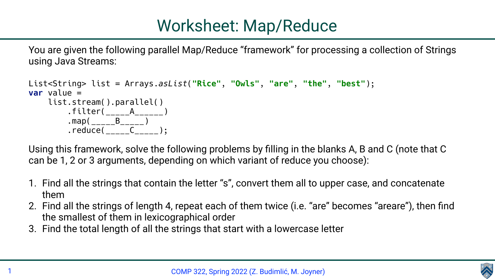You are given the following parallel Map/Reduce "framework" for processing a collection of Strings using Java Streams:

```
List<String> list = Arrays.asList("Rice", "Owls", "are", "the", "best");
var value =
     list.stream().parallel()
        .filter( A ---A ).map(______B_____)
        . reduce( _{-----} C _{---} );
```
Using this framework, solve the following problems by filling in the blanks A, B and C (note that C can be 1, 2 or 3 arguments, depending on which variant of reduce you choose):

1. Find all the strings that contain the letter "s", convert them all to upper case, and concatenate

2. Find all the strings of length 4, repeat each of them twice (i.e. "are" becomes "areare"), then find



- them
- the smallest of them in lexicographical order
- 3. Find the total length of all the strings that start with a lowercase letter

# Worksheet: Map/Reduce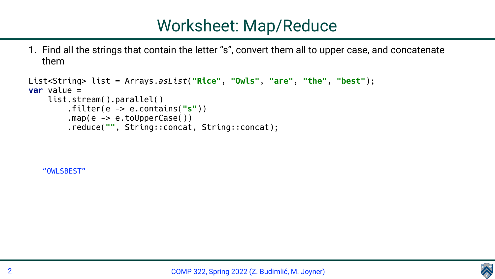1. Find all the strings that contain the letter "s", convert them all to upper case, and concatenate

them

```
List<String> list = Arrays.asList("Rice", "Owls", "are", "the", "best");
var value =
     list.stream().parallel()
         .filter(e -> e.contains("s"))
        map(e \rightarrow e.tolpperCase() ) .reduce("", String::concat, String::concat);
```
COMP 322, Spring 2022 (Z. Budimlić, M. Joyner)



## Worksheet: Map/Reduce

"OWLSBEST"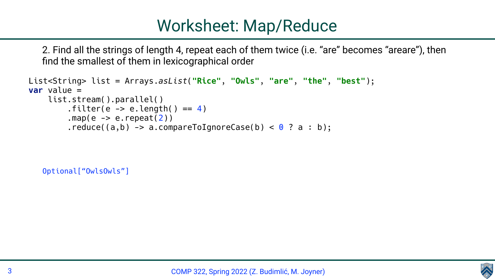2. Find all the strings of length 4, repeat each of them twice (i.e. "are" becomes "areare"), then find the smallest of them in lexicographical order

```
List<String> list = Arrays.asList("Rice", "Owls", "are", "the", "best");
var value =
     list.stream().parallel()
         .filter(e \rightarrow e.length() == 4)
         .map(e \rightarrow e.repeat(2))
         .reduce((a,b) \rightarrow a.compareToIgnoreCase(b) < 0 ? a : b);
```
COMP 322, Spring 2022 (Z. Budimlić, M. Joyner)



# Worksheet: Map/Reduce

Optional["OwlsOwls"]